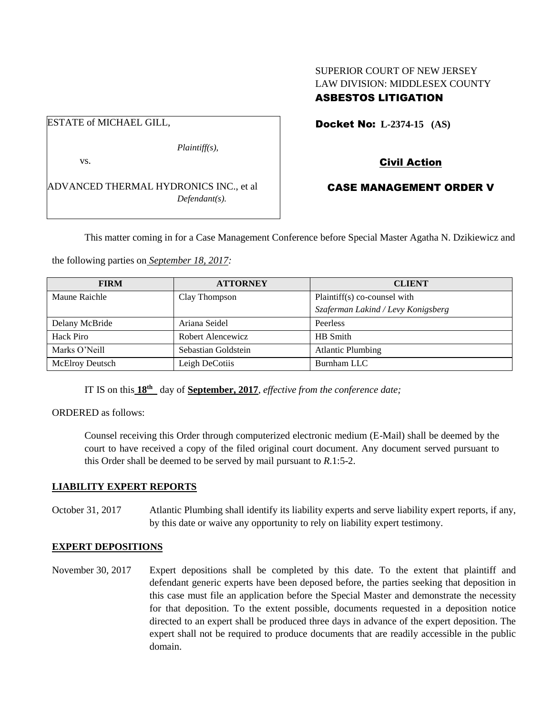# SUPERIOR COURT OF NEW JERSEY LAW DIVISION: MIDDLESEX COUNTY ASBESTOS LITIGATION

ESTATE of MICHAEL GILL, *Plaintiff(s),* vs. ADVANCED THERMAL HYDRONICS INC., et al *Defendant(s).*

Docket No: **L-2374-15 (AS)** 

Civil Action

# CASE MANAGEMENT ORDER V

This matter coming in for a Case Management Conference before Special Master Agatha N. Dzikiewicz and

the following parties on *September 18, 2017:*

| <b>FIRM</b>            | <b>ATTORNEY</b>     | <b>CLIENT</b>                      |
|------------------------|---------------------|------------------------------------|
| Maune Raichle          | Clay Thompson       | Plaintiff(s) co-counsel with       |
|                        |                     | Szaferman Lakind / Levy Konigsberg |
| Delany McBride         | Ariana Seidel       | Peerless                           |
| Hack Piro              | Robert Alencewicz   | HB Smith                           |
| Marks O'Neill          | Sebastian Goldstein | <b>Atlantic Plumbing</b>           |
| <b>McElroy Deutsch</b> | Leigh DeCotiis      | Burnham LLC                        |

IT IS on this **18th** day of **September, 2017**, *effective from the conference date;*

ORDERED as follows:

Counsel receiving this Order through computerized electronic medium (E-Mail) shall be deemed by the court to have received a copy of the filed original court document. Any document served pursuant to this Order shall be deemed to be served by mail pursuant to *R*.1:5-2.

#### **LIABILITY EXPERT REPORTS**

October 31, 2017 Atlantic Plumbing shall identify its liability experts and serve liability expert reports, if any, by this date or waive any opportunity to rely on liability expert testimony.

#### **EXPERT DEPOSITIONS**

November 30, 2017 Expert depositions shall be completed by this date. To the extent that plaintiff and defendant generic experts have been deposed before, the parties seeking that deposition in this case must file an application before the Special Master and demonstrate the necessity for that deposition. To the extent possible, documents requested in a deposition notice directed to an expert shall be produced three days in advance of the expert deposition. The expert shall not be required to produce documents that are readily accessible in the public domain.